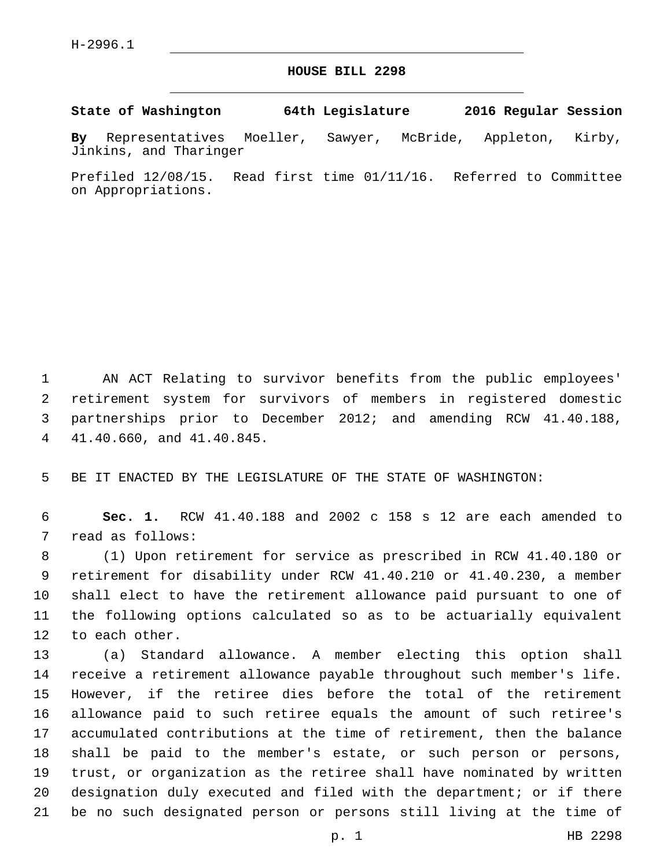## **HOUSE BILL 2298**

**State of Washington 64th Legislature 2016 Regular Session**

**By** Representatives Moeller, Sawyer, McBride, Appleton, Kirby, Jinkins, and Tharinger

Prefiled 12/08/15. Read first time 01/11/16. Referred to Committee on Appropriations.

 AN ACT Relating to survivor benefits from the public employees' retirement system for survivors of members in registered domestic partnerships prior to December 2012; and amending RCW 41.40.188, 41.40.660, and 41.40.845.4

BE IT ENACTED BY THE LEGISLATURE OF THE STATE OF WASHINGTON:

 **Sec. 1.** RCW 41.40.188 and 2002 c 158 s 12 are each amended to 7 read as follows:

 (1) Upon retirement for service as prescribed in RCW 41.40.180 or retirement for disability under RCW 41.40.210 or 41.40.230, a member shall elect to have the retirement allowance paid pursuant to one of the following options calculated so as to be actuarially equivalent 12 to each other.

 (a) Standard allowance. A member electing this option shall receive a retirement allowance payable throughout such member's life. However, if the retiree dies before the total of the retirement allowance paid to such retiree equals the amount of such retiree's accumulated contributions at the time of retirement, then the balance shall be paid to the member's estate, or such person or persons, trust, or organization as the retiree shall have nominated by written designation duly executed and filed with the department; or if there be no such designated person or persons still living at the time of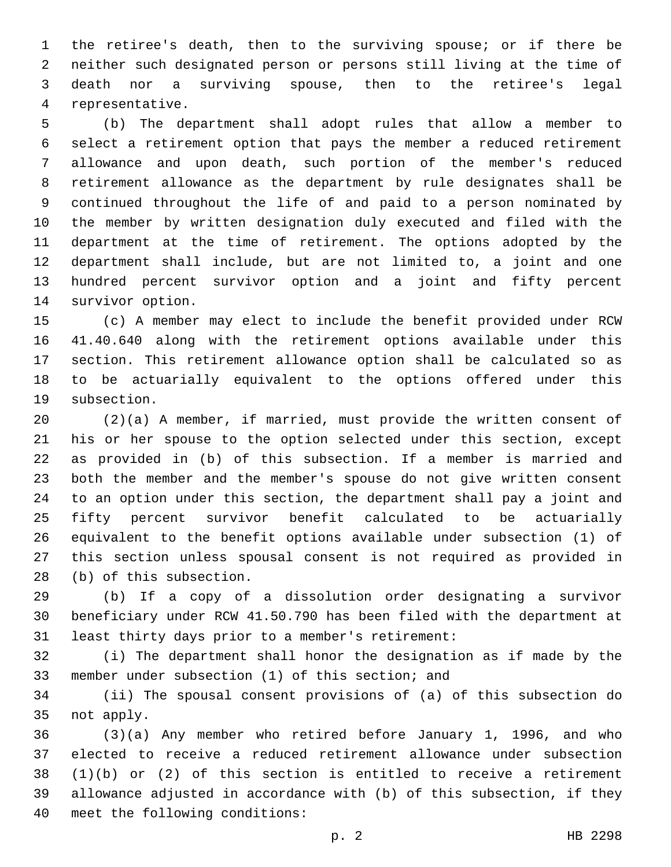the retiree's death, then to the surviving spouse; or if there be neither such designated person or persons still living at the time of death nor a surviving spouse, then to the retiree's legal 4 representative.

 (b) The department shall adopt rules that allow a member to select a retirement option that pays the member a reduced retirement allowance and upon death, such portion of the member's reduced retirement allowance as the department by rule designates shall be continued throughout the life of and paid to a person nominated by the member by written designation duly executed and filed with the department at the time of retirement. The options adopted by the department shall include, but are not limited to, a joint and one hundred percent survivor option and a joint and fifty percent 14 survivor option.

 (c) A member may elect to include the benefit provided under RCW 41.40.640 along with the retirement options available under this section. This retirement allowance option shall be calculated so as to be actuarially equivalent to the options offered under this 19 subsection.

 (2)(a) A member, if married, must provide the written consent of his or her spouse to the option selected under this section, except as provided in (b) of this subsection. If a member is married and both the member and the member's spouse do not give written consent to an option under this section, the department shall pay a joint and fifty percent survivor benefit calculated to be actuarially equivalent to the benefit options available under subsection (1) of this section unless spousal consent is not required as provided in 28 (b) of this subsection.

 (b) If a copy of a dissolution order designating a survivor beneficiary under RCW 41.50.790 has been filed with the department at 31 least thirty days prior to a member's retirement:

 (i) The department shall honor the designation as if made by the 33 member under subsection (1) of this section; and

 (ii) The spousal consent provisions of (a) of this subsection do 35 not apply.

 (3)(a) Any member who retired before January 1, 1996, and who elected to receive a reduced retirement allowance under subsection (1)(b) or (2) of this section is entitled to receive a retirement allowance adjusted in accordance with (b) of this subsection, if they 40 meet the following conditions: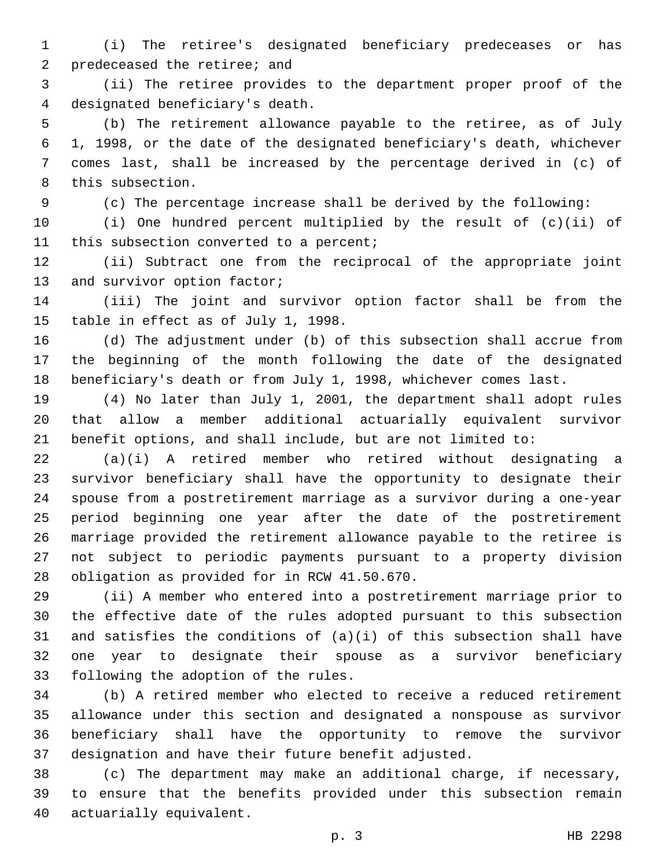(i) The retiree's designated beneficiary predeceases or has 2 predeceased the retiree; and

 (ii) The retiree provides to the department proper proof of the designated beneficiary's death.4

 (b) The retirement allowance payable to the retiree, as of July 1, 1998, or the date of the designated beneficiary's death, whichever comes last, shall be increased by the percentage derived in (c) of 8 this subsection.

(c) The percentage increase shall be derived by the following:

 (i) One hundred percent multiplied by the result of (c)(ii) of 11 this subsection converted to a percent;

 (ii) Subtract one from the reciprocal of the appropriate joint 13 and survivor option factor;

 (iii) The joint and survivor option factor shall be from the 15 table in effect as of July 1, 1998.

 (d) The adjustment under (b) of this subsection shall accrue from the beginning of the month following the date of the designated beneficiary's death or from July 1, 1998, whichever comes last.

 (4) No later than July 1, 2001, the department shall adopt rules that allow a member additional actuarially equivalent survivor benefit options, and shall include, but are not limited to:

 (a)(i) A retired member who retired without designating a survivor beneficiary shall have the opportunity to designate their spouse from a postretirement marriage as a survivor during a one-year period beginning one year after the date of the postretirement marriage provided the retirement allowance payable to the retiree is not subject to periodic payments pursuant to a property division 28 obligation as provided for in RCW 41.50.670.

 (ii) A member who entered into a postretirement marriage prior to the effective date of the rules adopted pursuant to this subsection and satisfies the conditions of (a)(i) of this subsection shall have one year to designate their spouse as a survivor beneficiary 33 following the adoption of the rules.

 (b) A retired member who elected to receive a reduced retirement allowance under this section and designated a nonspouse as survivor beneficiary shall have the opportunity to remove the survivor designation and have their future benefit adjusted.

 (c) The department may make an additional charge, if necessary, to ensure that the benefits provided under this subsection remain 40 actuarially equivalent.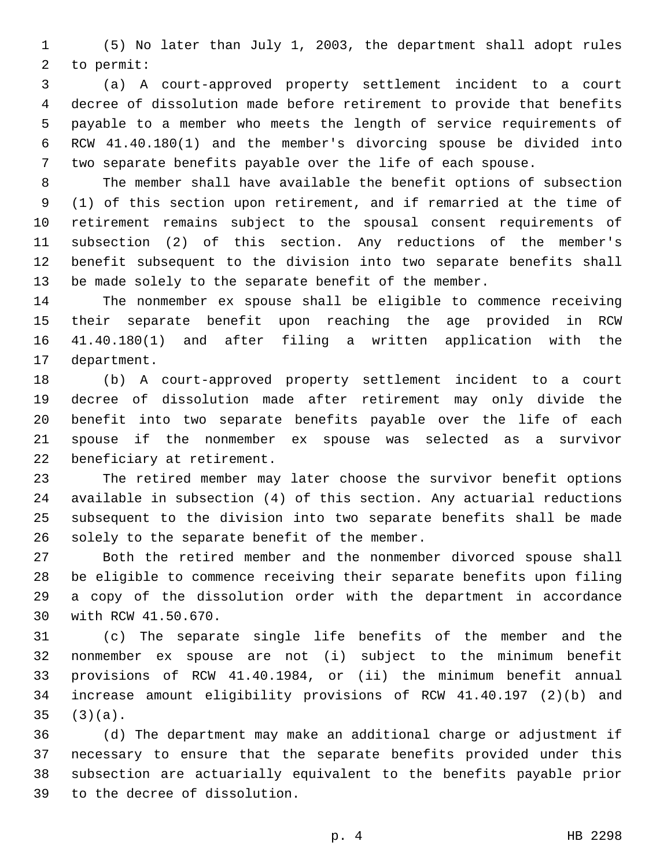(5) No later than July 1, 2003, the department shall adopt rules 2 to permit:

 (a) A court-approved property settlement incident to a court decree of dissolution made before retirement to provide that benefits payable to a member who meets the length of service requirements of RCW 41.40.180(1) and the member's divorcing spouse be divided into two separate benefits payable over the life of each spouse.

 The member shall have available the benefit options of subsection (1) of this section upon retirement, and if remarried at the time of retirement remains subject to the spousal consent requirements of subsection (2) of this section. Any reductions of the member's benefit subsequent to the division into two separate benefits shall be made solely to the separate benefit of the member.

 The nonmember ex spouse shall be eligible to commence receiving their separate benefit upon reaching the age provided in RCW 41.40.180(1) and after filing a written application with the 17 department.

 (b) A court-approved property settlement incident to a court decree of dissolution made after retirement may only divide the benefit into two separate benefits payable over the life of each spouse if the nonmember ex spouse was selected as a survivor 22 beneficiary at retirement.

 The retired member may later choose the survivor benefit options available in subsection (4) of this section. Any actuarial reductions subsequent to the division into two separate benefits shall be made 26 solely to the separate benefit of the member.

 Both the retired member and the nonmember divorced spouse shall be eligible to commence receiving their separate benefits upon filing a copy of the dissolution order with the department in accordance 30 with RCW 41.50.670.

 (c) The separate single life benefits of the member and the nonmember ex spouse are not (i) subject to the minimum benefit provisions of RCW 41.40.1984, or (ii) the minimum benefit annual increase amount eligibility provisions of RCW 41.40.197 (2)(b) and  $(3)(a)$ .

 (d) The department may make an additional charge or adjustment if necessary to ensure that the separate benefits provided under this subsection are actuarially equivalent to the benefits payable prior 39 to the decree of dissolution.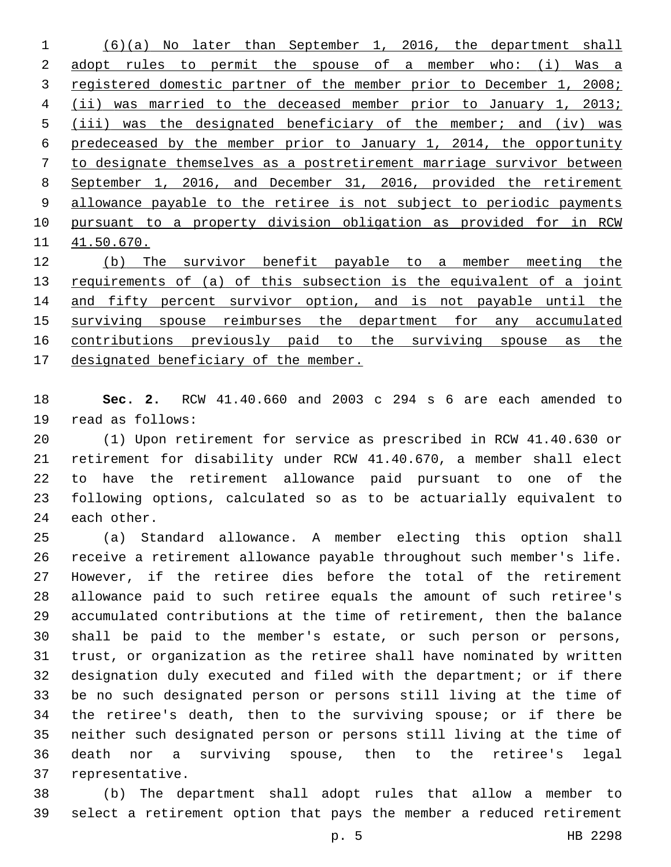(6)(a) No later than September 1, 2016, the department shall adopt rules to permit the spouse of a member who: (i) Was a registered domestic partner of the member prior to December 1, 2008; (ii) was married to the deceased member prior to January 1, 2013; (iii) was the designated beneficiary of the member; and (iv) was predeceased by the member prior to January 1, 2014, the opportunity to designate themselves as a postretirement marriage survivor between September 1, 2016, and December 31, 2016, provided the retirement 9 allowance payable to the retiree is not subject to periodic payments pursuant to a property division obligation as provided for in RCW 41.50.670. (b) The survivor benefit payable to a member meeting the

 requirements of (a) of this subsection is the equivalent of a joint and fifty percent survivor option, and is not payable until the surviving spouse reimburses the department for any accumulated contributions previously paid to the surviving spouse as the 17 designated beneficiary of the member.

 **Sec. 2.** RCW 41.40.660 and 2003 c 294 s 6 are each amended to 19 read as follows:

 (1) Upon retirement for service as prescribed in RCW 41.40.630 or retirement for disability under RCW 41.40.670, a member shall elect to have the retirement allowance paid pursuant to one of the following options, calculated so as to be actuarially equivalent to 24 each other.

 (a) Standard allowance. A member electing this option shall receive a retirement allowance payable throughout such member's life. However, if the retiree dies before the total of the retirement allowance paid to such retiree equals the amount of such retiree's accumulated contributions at the time of retirement, then the balance shall be paid to the member's estate, or such person or persons, trust, or organization as the retiree shall have nominated by written designation duly executed and filed with the department; or if there be no such designated person or persons still living at the time of the retiree's death, then to the surviving spouse; or if there be neither such designated person or persons still living at the time of death nor a surviving spouse, then to the retiree's legal 37 representative.

 (b) The department shall adopt rules that allow a member to select a retirement option that pays the member a reduced retirement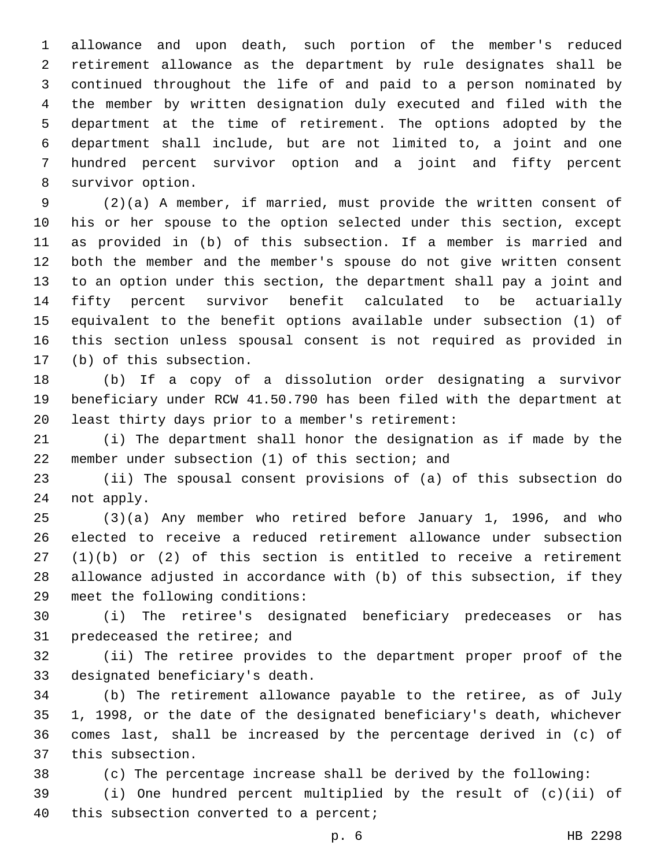allowance and upon death, such portion of the member's reduced retirement allowance as the department by rule designates shall be continued throughout the life of and paid to a person nominated by the member by written designation duly executed and filed with the department at the time of retirement. The options adopted by the department shall include, but are not limited to, a joint and one hundred percent survivor option and a joint and fifty percent 8 survivor option.

 (2)(a) A member, if married, must provide the written consent of his or her spouse to the option selected under this section, except as provided in (b) of this subsection. If a member is married and both the member and the member's spouse do not give written consent to an option under this section, the department shall pay a joint and fifty percent survivor benefit calculated to be actuarially equivalent to the benefit options available under subsection (1) of this section unless spousal consent is not required as provided in 17 (b) of this subsection.

 (b) If a copy of a dissolution order designating a survivor beneficiary under RCW 41.50.790 has been filed with the department at 20 least thirty days prior to a member's retirement:

 (i) The department shall honor the designation as if made by the 22 member under subsection (1) of this section; and

 (ii) The spousal consent provisions of (a) of this subsection do 24 not apply.

 (3)(a) Any member who retired before January 1, 1996, and who elected to receive a reduced retirement allowance under subsection (1)(b) or (2) of this section is entitled to receive a retirement allowance adjusted in accordance with (b) of this subsection, if they 29 meet the following conditions:

 (i) The retiree's designated beneficiary predeceases or has 31 predeceased the retiree; and

 (ii) The retiree provides to the department proper proof of the 33 designated beneficiary's death.

 (b) The retirement allowance payable to the retiree, as of July 1, 1998, or the date of the designated beneficiary's death, whichever comes last, shall be increased by the percentage derived in (c) of 37 this subsection.

(c) The percentage increase shall be derived by the following:

 (i) One hundred percent multiplied by the result of (c)(ii) of 40 this subsection converted to a percent;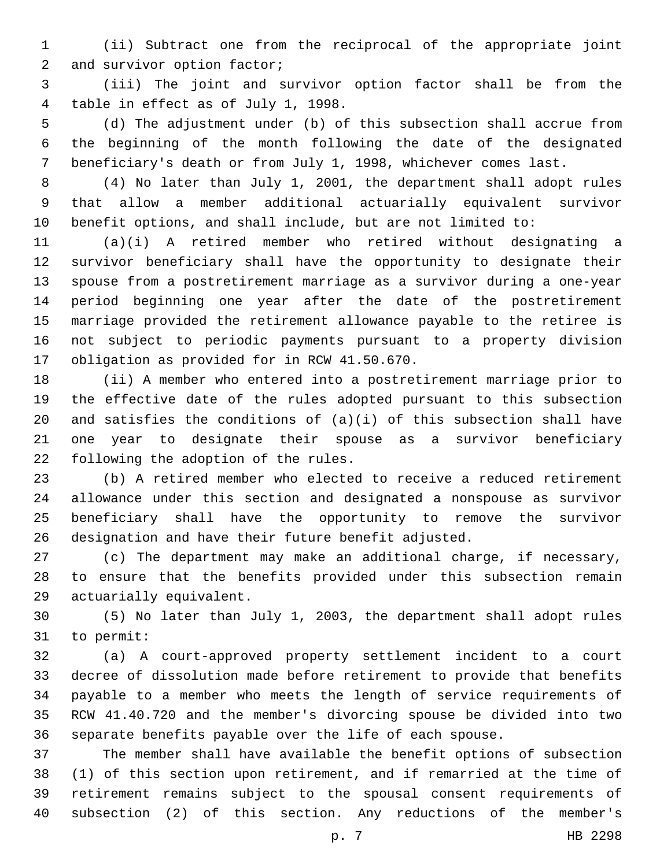(ii) Subtract one from the reciprocal of the appropriate joint 2 and survivor option factor;

 (iii) The joint and survivor option factor shall be from the 4 table in effect as of July 1, 1998.

 (d) The adjustment under (b) of this subsection shall accrue from the beginning of the month following the date of the designated beneficiary's death or from July 1, 1998, whichever comes last.

 (4) No later than July 1, 2001, the department shall adopt rules that allow a member additional actuarially equivalent survivor benefit options, and shall include, but are not limited to:

 (a)(i) A retired member who retired without designating a survivor beneficiary shall have the opportunity to designate their spouse from a postretirement marriage as a survivor during a one-year period beginning one year after the date of the postretirement marriage provided the retirement allowance payable to the retiree is not subject to periodic payments pursuant to a property division 17 obligation as provided for in RCW 41.50.670.

 (ii) A member who entered into a postretirement marriage prior to the effective date of the rules adopted pursuant to this subsection and satisfies the conditions of (a)(i) of this subsection shall have one year to designate their spouse as a survivor beneficiary 22 following the adoption of the rules.

 (b) A retired member who elected to receive a reduced retirement allowance under this section and designated a nonspouse as survivor beneficiary shall have the opportunity to remove the survivor designation and have their future benefit adjusted.

 (c) The department may make an additional charge, if necessary, to ensure that the benefits provided under this subsection remain 29 actuarially equivalent.

 (5) No later than July 1, 2003, the department shall adopt rules 31 to permit:

 (a) A court-approved property settlement incident to a court decree of dissolution made before retirement to provide that benefits payable to a member who meets the length of service requirements of RCW 41.40.720 and the member's divorcing spouse be divided into two separate benefits payable over the life of each spouse.

 The member shall have available the benefit options of subsection (1) of this section upon retirement, and if remarried at the time of retirement remains subject to the spousal consent requirements of subsection (2) of this section. Any reductions of the member's

p. 7 HB 2298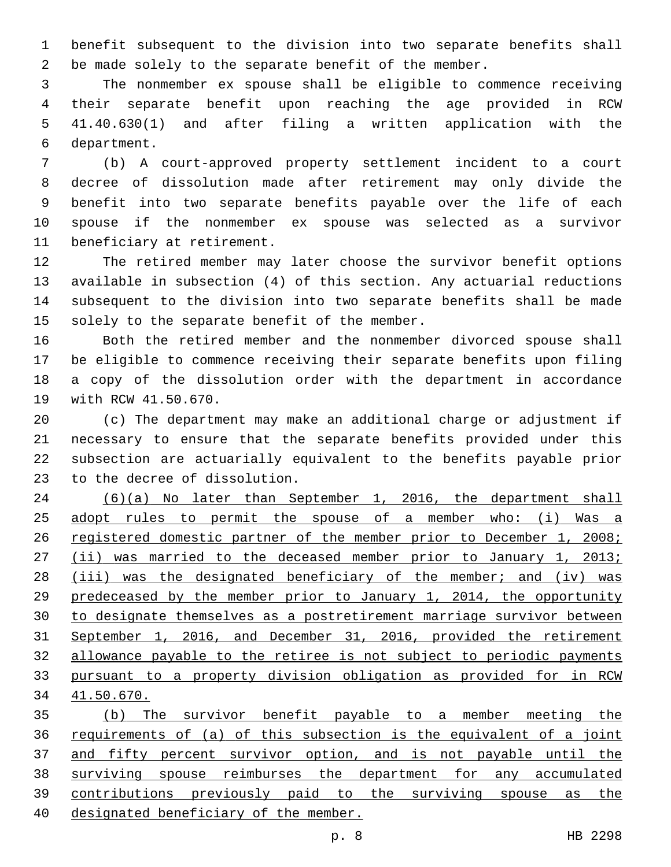benefit subsequent to the division into two separate benefits shall be made solely to the separate benefit of the member.

 The nonmember ex spouse shall be eligible to commence receiving their separate benefit upon reaching the age provided in RCW 41.40.630(1) and after filing a written application with the department.6

 (b) A court-approved property settlement incident to a court decree of dissolution made after retirement may only divide the benefit into two separate benefits payable over the life of each spouse if the nonmember ex spouse was selected as a survivor 11 beneficiary at retirement.

 The retired member may later choose the survivor benefit options available in subsection (4) of this section. Any actuarial reductions subsequent to the division into two separate benefits shall be made 15 solely to the separate benefit of the member.

 Both the retired member and the nonmember divorced spouse shall be eligible to commence receiving their separate benefits upon filing a copy of the dissolution order with the department in accordance 19 with RCW 41.50.670.

 (c) The department may make an additional charge or adjustment if necessary to ensure that the separate benefits provided under this subsection are actuarially equivalent to the benefits payable prior 23 to the decree of dissolution.

 (6)(a) No later than September 1, 2016, the department shall adopt rules to permit the spouse of a member who: (i) Was a registered domestic partner of the member prior to December 1, 2008; (ii) was married to the deceased member prior to January 1, 2013; (iii) was the designated beneficiary of the member; and (iv) was predeceased by the member prior to January 1, 2014, the opportunity to designate themselves as a postretirement marriage survivor between September 1, 2016, and December 31, 2016, provided the retirement allowance payable to the retiree is not subject to periodic payments pursuant to a property division obligation as provided for in RCW 41.50.670.

 (b) The survivor benefit payable to a member meeting the requirements of (a) of this subsection is the equivalent of a joint and fifty percent survivor option, and is not payable until the surviving spouse reimburses the department for any accumulated contributions previously paid to the surviving spouse as the designated beneficiary of the member.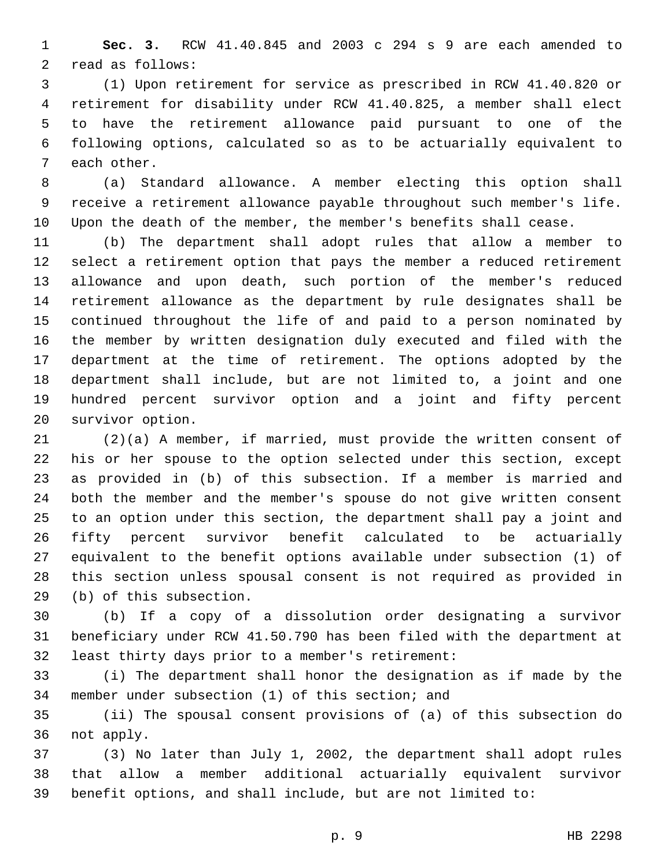**Sec. 3.** RCW 41.40.845 and 2003 c 294 s 9 are each amended to 2 read as follows:

 (1) Upon retirement for service as prescribed in RCW 41.40.820 or retirement for disability under RCW 41.40.825, a member shall elect to have the retirement allowance paid pursuant to one of the following options, calculated so as to be actuarially equivalent to 7 each other.

 (a) Standard allowance. A member electing this option shall receive a retirement allowance payable throughout such member's life. Upon the death of the member, the member's benefits shall cease.

 (b) The department shall adopt rules that allow a member to select a retirement option that pays the member a reduced retirement allowance and upon death, such portion of the member's reduced retirement allowance as the department by rule designates shall be continued throughout the life of and paid to a person nominated by the member by written designation duly executed and filed with the department at the time of retirement. The options adopted by the department shall include, but are not limited to, a joint and one hundred percent survivor option and a joint and fifty percent 20 survivor option.

 (2)(a) A member, if married, must provide the written consent of his or her spouse to the option selected under this section, except as provided in (b) of this subsection. If a member is married and both the member and the member's spouse do not give written consent to an option under this section, the department shall pay a joint and fifty percent survivor benefit calculated to be actuarially equivalent to the benefit options available under subsection (1) of this section unless spousal consent is not required as provided in 29 (b) of this subsection.

 (b) If a copy of a dissolution order designating a survivor beneficiary under RCW 41.50.790 has been filed with the department at 32 least thirty days prior to a member's retirement:

 (i) The department shall honor the designation as if made by the 34 member under subsection (1) of this section; and

 (ii) The spousal consent provisions of (a) of this subsection do 36 not apply.

 (3) No later than July 1, 2002, the department shall adopt rules that allow a member additional actuarially equivalent survivor benefit options, and shall include, but are not limited to: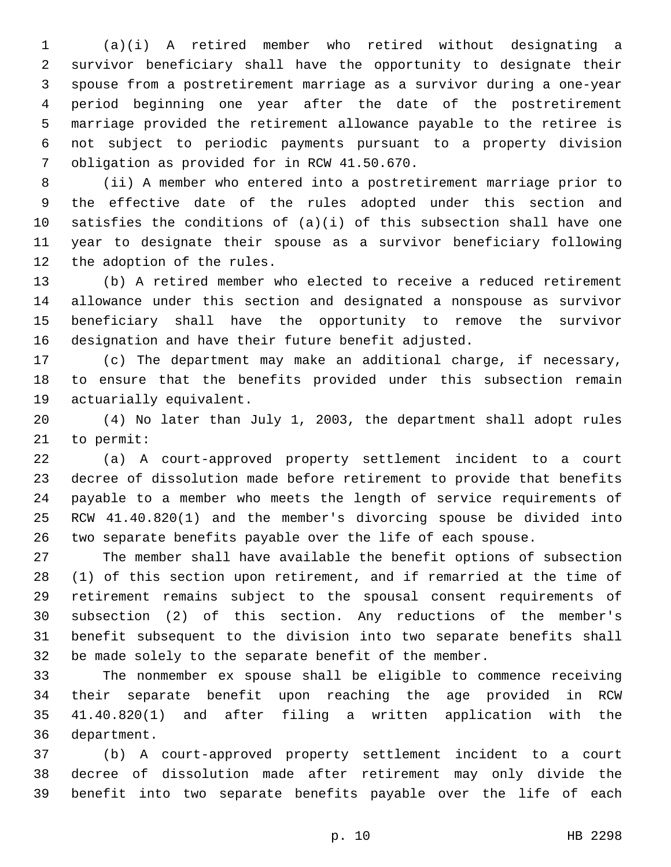(a)(i) A retired member who retired without designating a survivor beneficiary shall have the opportunity to designate their spouse from a postretirement marriage as a survivor during a one-year period beginning one year after the date of the postretirement marriage provided the retirement allowance payable to the retiree is not subject to periodic payments pursuant to a property division 7 obligation as provided for in RCW 41.50.670.

 (ii) A member who entered into a postretirement marriage prior to the effective date of the rules adopted under this section and satisfies the conditions of (a)(i) of this subsection shall have one year to designate their spouse as a survivor beneficiary following 12 the adoption of the rules.

 (b) A retired member who elected to receive a reduced retirement allowance under this section and designated a nonspouse as survivor beneficiary shall have the opportunity to remove the survivor designation and have their future benefit adjusted.

 (c) The department may make an additional charge, if necessary, to ensure that the benefits provided under this subsection remain 19 actuarially equivalent.

 (4) No later than July 1, 2003, the department shall adopt rules to permit:

 (a) A court-approved property settlement incident to a court decree of dissolution made before retirement to provide that benefits payable to a member who meets the length of service requirements of RCW 41.40.820(1) and the member's divorcing spouse be divided into two separate benefits payable over the life of each spouse.

 The member shall have available the benefit options of subsection (1) of this section upon retirement, and if remarried at the time of retirement remains subject to the spousal consent requirements of subsection (2) of this section. Any reductions of the member's benefit subsequent to the division into two separate benefits shall be made solely to the separate benefit of the member.

 The nonmember ex spouse shall be eligible to commence receiving their separate benefit upon reaching the age provided in RCW 41.40.820(1) and after filing a written application with the 36 department.

 (b) A court-approved property settlement incident to a court decree of dissolution made after retirement may only divide the benefit into two separate benefits payable over the life of each